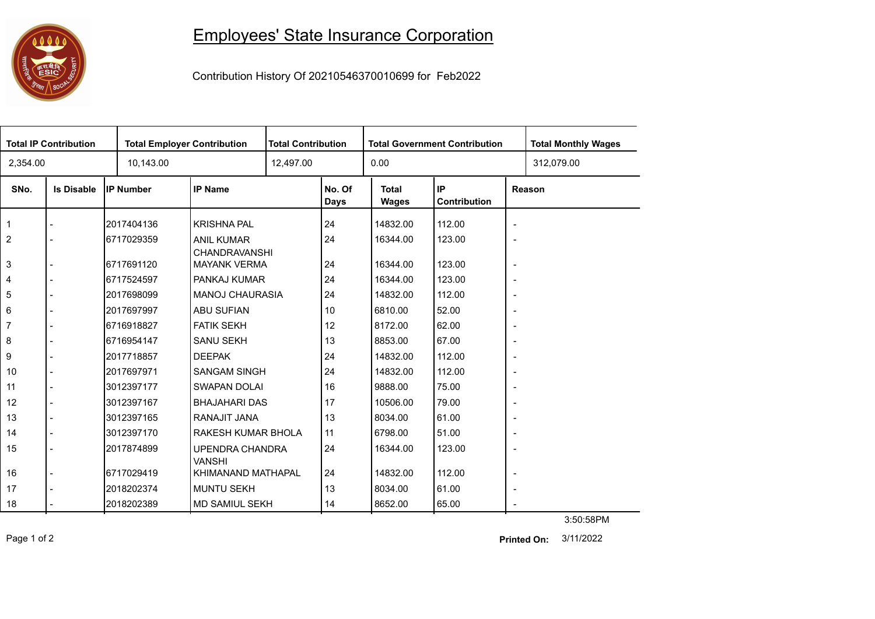

## Employees' State Insurance Corporation

Contribution History Of 20210546370010699 for Feb2022

| <b>Total IP Contribution</b> |                   |                  | <b>Total Employer Contribution</b> |              | <b>Total Contribution</b> |                              | <b>Total Government Contribution</b> | <b>Total Monthly Wages</b> |            |  |
|------------------------------|-------------------|------------------|------------------------------------|--------------|---------------------------|------------------------------|--------------------------------------|----------------------------|------------|--|
| 2,354.00                     |                   | 10,143.00        |                                    | 12,497.00    |                           | 0.00                         |                                      |                            | 312,079.00 |  |
| SNo.                         | <b>Is Disable</b> | <b>IP Number</b> | <b>IP Name</b>                     |              | No. Of<br><b>Days</b>     | <b>Total</b><br><b>Wages</b> | IP<br>Contribution                   | Reason                     |            |  |
| $\mathbf{1}$                 |                   | 2017404136       | <b>KRISHNA PAL</b>                 |              | 24                        | 14832.00                     | 112.00                               | $\blacksquare$             |            |  |
| 2                            |                   | 6717029359       | <b>ANIL KUMAR</b><br>CHANDRAVANSHI |              | 24                        | 16344.00                     | 123.00                               | $\blacksquare$             |            |  |
| 3                            | $\blacksquare$    | 6717691120       | <b>MAYANK VERMA</b>                |              | 24                        | 16344.00                     | 123.00                               | $\overline{\phantom{a}}$   |            |  |
| 4                            |                   | 6717524597       |                                    | PANKAJ KUMAR |                           | 16344.00                     | 123.00                               | $\overline{\phantom{a}}$   |            |  |
| 5                            |                   | 2017698099       | <b>MANOJ CHAURASIA</b>             |              | 24                        | 14832.00                     | 112.00                               | $\overline{\phantom{a}}$   |            |  |
| 6                            |                   | 2017697997       | <b>ABU SUFIAN</b>                  |              |                           | 6810.00                      | 52.00                                | $\overline{\phantom{a}}$   |            |  |
| 7                            |                   | 6716918827       | <b>FATIK SEKH</b>                  |              | 12                        | 8172.00                      | 62.00                                | $\overline{\phantom{a}}$   |            |  |
| 8                            |                   | 6716954147       | <b>SANU SEKH</b>                   |              | 13                        | 8853.00                      | 67.00                                | $\overline{\phantom{a}}$   |            |  |
| 9                            |                   | 2017718857       | <b>DEEPAK</b>                      |              | 24                        | 14832.00                     | 112.00                               | $\sim$                     |            |  |
| 10                           |                   | 2017697971       | <b>SANGAM SINGH</b>                |              | 24                        | 14832.00                     | 112.00                               | $\overline{\phantom{a}}$   |            |  |
| 11                           |                   | 3012397177       | <b>SWAPAN DOLAI</b>                |              | 16                        | 9888.00                      | 75.00                                | $\overline{\phantom{a}}$   |            |  |
| 12                           | $\blacksquare$    | 3012397167       | <b>BHAJAHARI DAS</b>               |              | 17                        | 10506.00                     | 79.00                                | $\overline{\phantom{a}}$   |            |  |
| 13                           |                   | 3012397165       | RANAJIT JANA                       |              | 13                        | 8034.00                      | 61.00                                | $\blacksquare$             |            |  |
| 14                           |                   | 3012397170       | RAKESH KUMAR BHOLA                 |              | 11                        | 6798.00                      | 51.00                                | $\overline{\phantom{a}}$   |            |  |
| 15                           |                   | 2017874899       | UPENDRA CHANDRA<br><b>VANSHI</b>   |              | 24                        | 16344.00                     | 123.00                               | $\blacksquare$             |            |  |
| 16                           |                   | 6717029419       | KHIMANAND MATHAPAL                 |              | 24                        | 14832.00                     | 112.00                               | $\overline{\phantom{a}}$   |            |  |
| 17                           |                   | 2018202374       | <b>MUNTU SEKH</b>                  |              | 13                        | 8034.00                      | 61.00                                | $\overline{\phantom{a}}$   |            |  |
| 18                           |                   | 2018202389       | <b>MD SAMIUL SEKH</b>              |              | 14                        | 8652.00                      | 65.00                                | $\overline{\phantom{a}}$   |            |  |
|                              |                   |                  |                                    |              |                           |                              |                                      |                            | 3:50:58PM  |  |

Page 1 of 2 3/11/2022 **Printed On:**